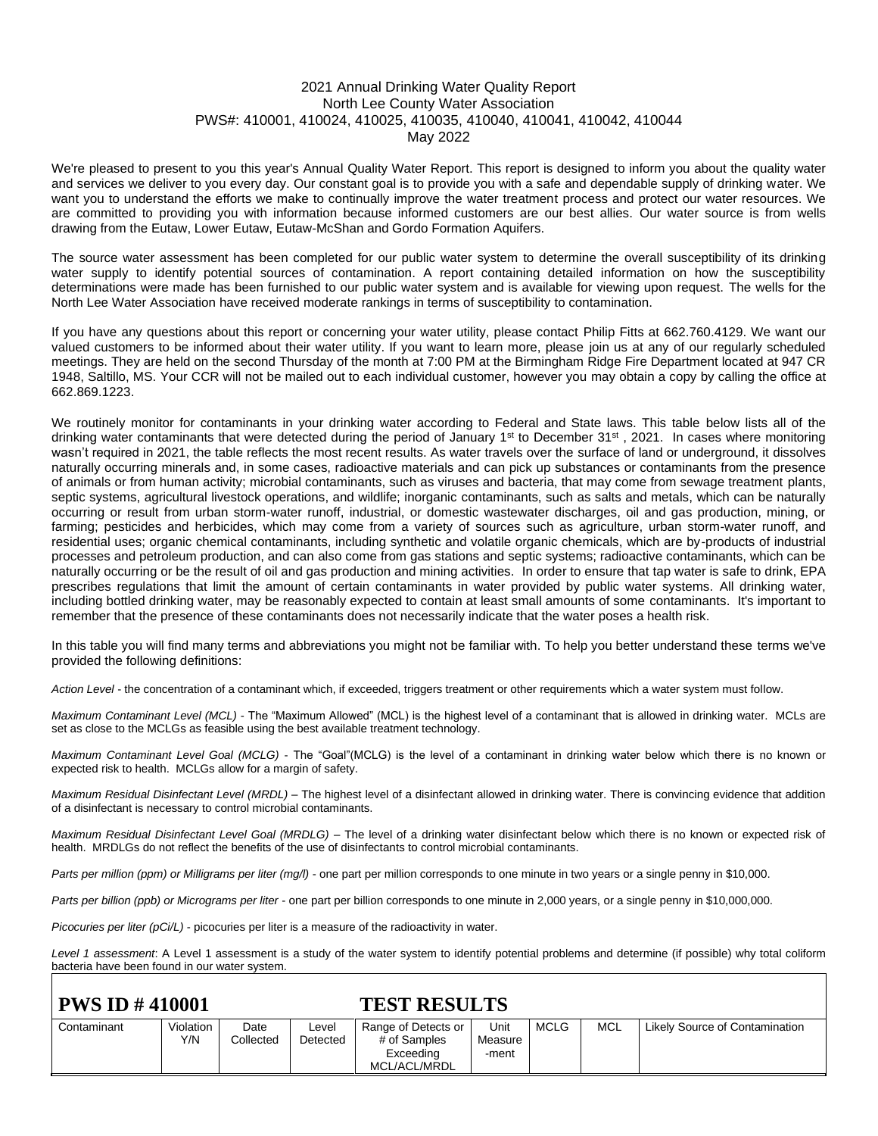### 2021 Annual Drinking Water Quality Report North Lee County Water Association PWS#: 410001, 410024, 410025, 410035, 410040, 410041, 410042, 410044 May 2022

We're pleased to present to you this year's Annual Quality Water Report. This report is designed to inform you about the quality water and services we deliver to you every day. Our constant goal is to provide you with a safe and dependable supply of drinking water. We want you to understand the efforts we make to continually improve the water treatment process and protect our water resources. We are committed to providing you with information because informed customers are our best allies. Our water source is from wells drawing from the Eutaw, Lower Eutaw, Eutaw-McShan and Gordo Formation Aquifers.

The source water assessment has been completed for our public water system to determine the overall susceptibility of its drinking water supply to identify potential sources of contamination. A report containing detailed information on how the susceptibility determinations were made has been furnished to our public water system and is available for viewing upon request. The wells for the North Lee Water Association have received moderate rankings in terms of susceptibility to contamination.

If you have any questions about this report or concerning your water utility, please contact Philip Fitts at 662.760.4129. We want our valued customers to be informed about their water utility. If you want to learn more, please join us at any of our regularly scheduled meetings. They are held on the second Thursday of the month at 7:00 PM at the Birmingham Ridge Fire Department located at 947 CR 1948, Saltillo, MS. Your CCR will not be mailed out to each individual customer, however you may obtain a copy by calling the office at 662.869.1223.

We routinely monitor for contaminants in your drinking water according to Federal and State laws. This table below lists all of the drinking water contaminants that were detected during the period of January 1<sup>st</sup> to December 31<sup>st</sup>, 2021. In cases where monitoring wasn't required in 2021, the table reflects the most recent results. As water travels over the surface of land or underground, it dissolves naturally occurring minerals and, in some cases, radioactive materials and can pick up substances or contaminants from the presence of animals or from human activity; microbial contaminants, such as viruses and bacteria, that may come from sewage treatment plants, septic systems, agricultural livestock operations, and wildlife; inorganic contaminants, such as salts and metals, which can be naturally occurring or result from urban storm-water runoff, industrial, or domestic wastewater discharges, oil and gas production, mining, or farming; pesticides and herbicides, which may come from a variety of sources such as agriculture, urban storm-water runoff, and residential uses; organic chemical contaminants, including synthetic and volatile organic chemicals, which are by-products of industrial processes and petroleum production, and can also come from gas stations and septic systems; radioactive contaminants, which can be naturally occurring or be the result of oil and gas production and mining activities. In order to ensure that tap water is safe to drink, EPA prescribes regulations that limit the amount of certain contaminants in water provided by public water systems. All drinking water, including bottled drinking water, may be reasonably expected to contain at least small amounts of some contaminants. It's important to remember that the presence of these contaminants does not necessarily indicate that the water poses a health risk.

In this table you will find many terms and abbreviations you might not be familiar with. To help you better understand these terms we've provided the following definitions:

*Action Level* - the concentration of a contaminant which, if exceeded, triggers treatment or other requirements which a water system must follow.

*Maximum Contaminant Level (MCL)* - The "Maximum Allowed" (MCL) is the highest level of a contaminant that is allowed in drinking water. MCLs are set as close to the MCLGs as feasible using the best available treatment technology.

*Maximum Contaminant Level Goal (MCLG)* - The "Goal"(MCLG) is the level of a contaminant in drinking water below which there is no known or expected risk to health. MCLGs allow for a margin of safety.

*Maximum Residual Disinfectant Level (MRDL)* – The highest level of a disinfectant allowed in drinking water. There is convincing evidence that addition of a disinfectant is necessary to control microbial contaminants.

*Maximum Residual Disinfectant Level Goal (MRDLG)* – The level of a drinking water disinfectant below which there is no known or expected risk of health. MRDLGs do not reflect the benefits of the use of disinfectants to control microbial contaminants.

*Parts per million (ppm) or Milligrams per liter (mg/l)* - one part per million corresponds to one minute in two years or a single penny in \$10,000.

*Parts per billion (ppb) or Micrograms per liter* - one part per billion corresponds to one minute in 2,000 years, or a single penny in \$10,000,000.

*Picocuries per liter (pCi/L)* - picocuries per liter is a measure of the radioactivity in water.

*Level 1 assessment*: A Level 1 assessment is a study of the water system to identify potential problems and determine (if possible) why total coliform bacteria have been found in our water system.

## **PWS ID # 410001 TEST RESULTS**

| .           |           |           |          |                     |         |             |     |                                |
|-------------|-----------|-----------|----------|---------------------|---------|-------------|-----|--------------------------------|
| Contaminant | Violation | Date      | ∟evel    | Range of Detects or | Unit    | <b>MCLG</b> | MCL | Likely Source of Contamination |
|             | Y/N       | Collected | Detected | # of Samples        | Measure |             |     |                                |
|             |           |           |          | Exceeding           | -ment   |             |     |                                |
|             |           |           |          | MCL/ACL/MRDL        |         |             |     |                                |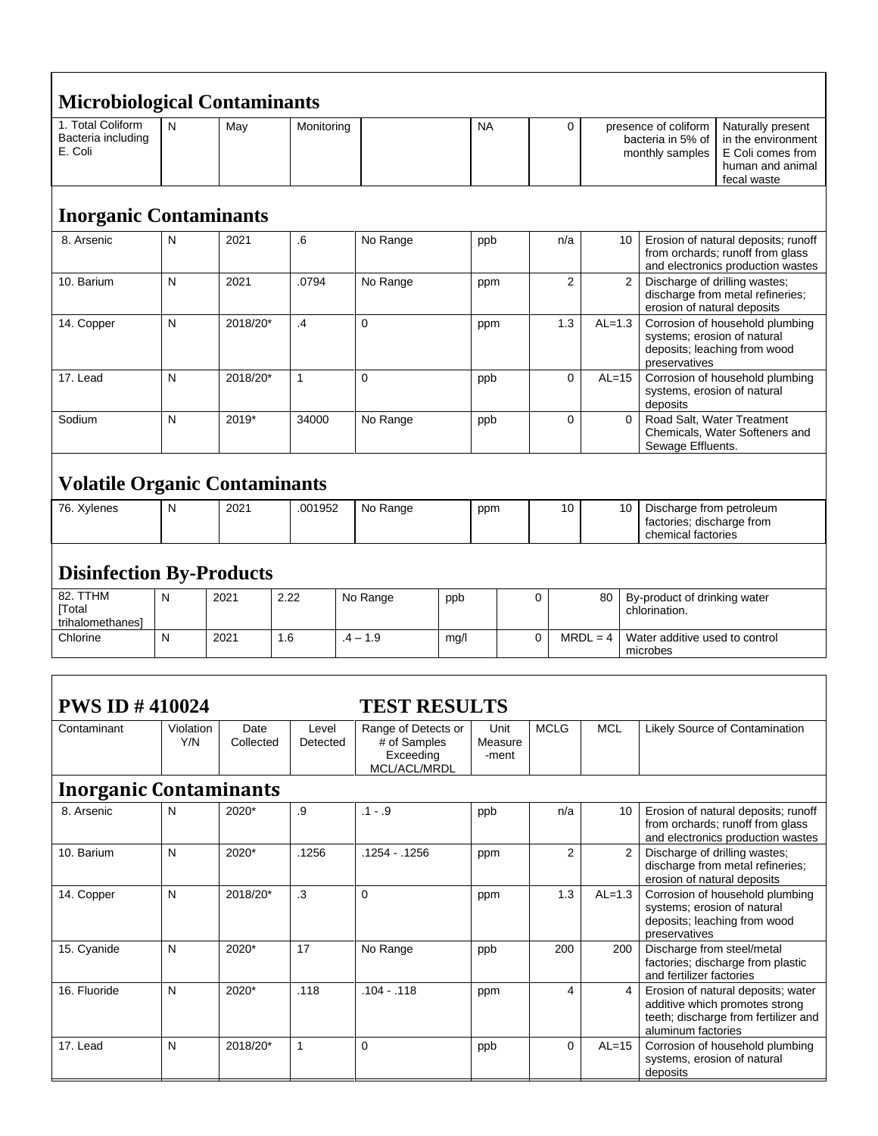| <b>Microbiological Contaminants</b>                |                  |                   |                   |                                                                  |      |                          |             |                |            |               |                                                                             |                                                                                                              |
|----------------------------------------------------|------------------|-------------------|-------------------|------------------------------------------------------------------|------|--------------------------|-------------|----------------|------------|---------------|-----------------------------------------------------------------------------|--------------------------------------------------------------------------------------------------------------|
| 1. Total Coliform<br>Bacteria including<br>E. Coli | N                | May               | Monitoring        |                                                                  |      | NA                       |             | 0              |            |               | presence of coliform<br>bacteria in 5% of<br>monthly samples                | Naturally present<br>in the environment<br>E Coli comes from<br>human and animal<br>fecal waste              |
| <b>Inorganic Contaminants</b>                      |                  |                   |                   |                                                                  |      |                          |             |                |            |               |                                                                             |                                                                                                              |
| 8. Arsenic                                         | N                | 2021              | .6                | No Range                                                         |      | ppb                      |             | n/a            |            | 10            |                                                                             | Erosion of natural deposits; runoff<br>from orchards; runoff from glass<br>and electronics production wastes |
| 10. Barium                                         | N                | 2021              | .0794             | No Range                                                         |      | ppm                      |             | $\overline{2}$ |            | 2             | Discharge of drilling wastes;<br>erosion of natural deposits                | discharge from metal refineries;                                                                             |
| 14. Copper                                         | N                | 2018/20*          | .4                | 0                                                                |      | ppm                      |             | 1.3            | $AL=1.3$   |               | systems; erosion of natural<br>preservatives                                | Corrosion of household plumbing<br>deposits; leaching from wood                                              |
| 17. Lead                                           | N                | 2018/20*          | $\mathbf{1}$      | 0                                                                |      | ppb                      |             | $\mathbf 0$    | $AL=15$    |               | systems, erosion of natural<br>deposits                                     | Corrosion of household plumbing                                                                              |
| Sodium                                             | N                | 2019*             | 34000             | No Range                                                         |      | ppb                      |             | $\mathbf 0$    |            | $\Omega$      | Road Salt, Water Treatment<br>Sewage Effluents.                             | Chemicals, Water Softeners and                                                                               |
| <b>Volatile Organic Contaminants</b>               |                  |                   |                   |                                                                  |      |                          |             |                |            |               |                                                                             |                                                                                                              |
| 76. Xylenes                                        | N                | 2021              | .001952           | No Range                                                         |      | ppm                      |             | 10             |            | 10            | Discharge from petroleum<br>factories; discharge from<br>chemical factories |                                                                                                              |
| <b>Disinfection By-Products</b>                    |                  |                   |                   |                                                                  |      |                          |             |                |            |               |                                                                             |                                                                                                              |
| 82. TTHM<br>[Total<br>trihalomethanes]             | N                | 2021              | 2.22              | No Range                                                         | ppb  |                          | 0           |                | 80         | chlorination. | By-product of drinking water                                                |                                                                                                              |
| Chlorine                                           | $\mathsf{N}$     | 2021              | 1.6               | $.4 - 1.9$                                                       | mg/l |                          | 0           |                | $MRDL = 4$ | microbes      | Water additive used to control                                              |                                                                                                              |
|                                                    |                  |                   |                   |                                                                  |      |                          |             |                |            |               |                                                                             |                                                                                                              |
| <b>PWS ID #410024</b>                              |                  |                   |                   | <b>TEST RESULTS</b>                                              |      |                          |             |                |            |               |                                                                             |                                                                                                              |
| Contaminant                                        | Violation<br>Y/N | Date<br>Collected | Level<br>Detected | Range of Detects or<br># of Samples<br>Exceeding<br>MCL/ACL/MRDL |      | Unit<br>Measure<br>-ment | <b>MCLG</b> |                | <b>MCL</b> |               |                                                                             | Likely Source of Contamination                                                                               |
| <b>Inorganic Contaminants</b>                      |                  |                   |                   |                                                                  |      |                          |             |                |            |               |                                                                             |                                                                                                              |
| 8. Arsenic                                         | $\mathsf{N}$     | 2020*             | $\cdot 9$         | $.1 - .9$                                                        |      | ppb                      |             | n/a            |            | 10            |                                                                             | Erosion of natural deposits; runoff<br>from orchards: runoff from glass                                      |

| 8. Arsenic   | N | 2020^    | .ყ    | . 1 - .9      | ppp | n/a | 10       | Erosion of natural deposits; runoff<br>from orchards; runoff from glass<br>and electronics production wastes                       |
|--------------|---|----------|-------|---------------|-----|-----|----------|------------------------------------------------------------------------------------------------------------------------------------|
| 10. Barium   | N | 2020*    | .1256 | .1254 - .1256 | ppm | 2   | 2        | Discharge of drilling wastes:<br>discharge from metal refineries;<br>erosion of natural deposits                                   |
| 14. Copper   | N | 2018/20* | .3    | $\mathbf 0$   | ppm | 1.3 | $AL=1.3$ | Corrosion of household plumbing<br>systems; erosion of natural<br>deposits; leaching from wood<br>preservatives                    |
| 15. Cyanide  | N | 2020*    | 17    | No Range      | ppb | 200 | 200      | Discharge from steel/metal<br>factories; discharge from plastic<br>and fertilizer factories                                        |
| 16. Fluoride | N | 2020*    | .118  | .104 - .118   | ppm | 4   |          | Erosion of natural deposits; water<br>additive which promotes strong<br>teeth; discharge from fertilizer and<br>aluminum factories |
| 17. Lead     | N | 2018/20* |       | $\Omega$      | ppb | 0   | $AL=15$  | Corrosion of household plumbing<br>systems, erosion of natural<br>deposits                                                         |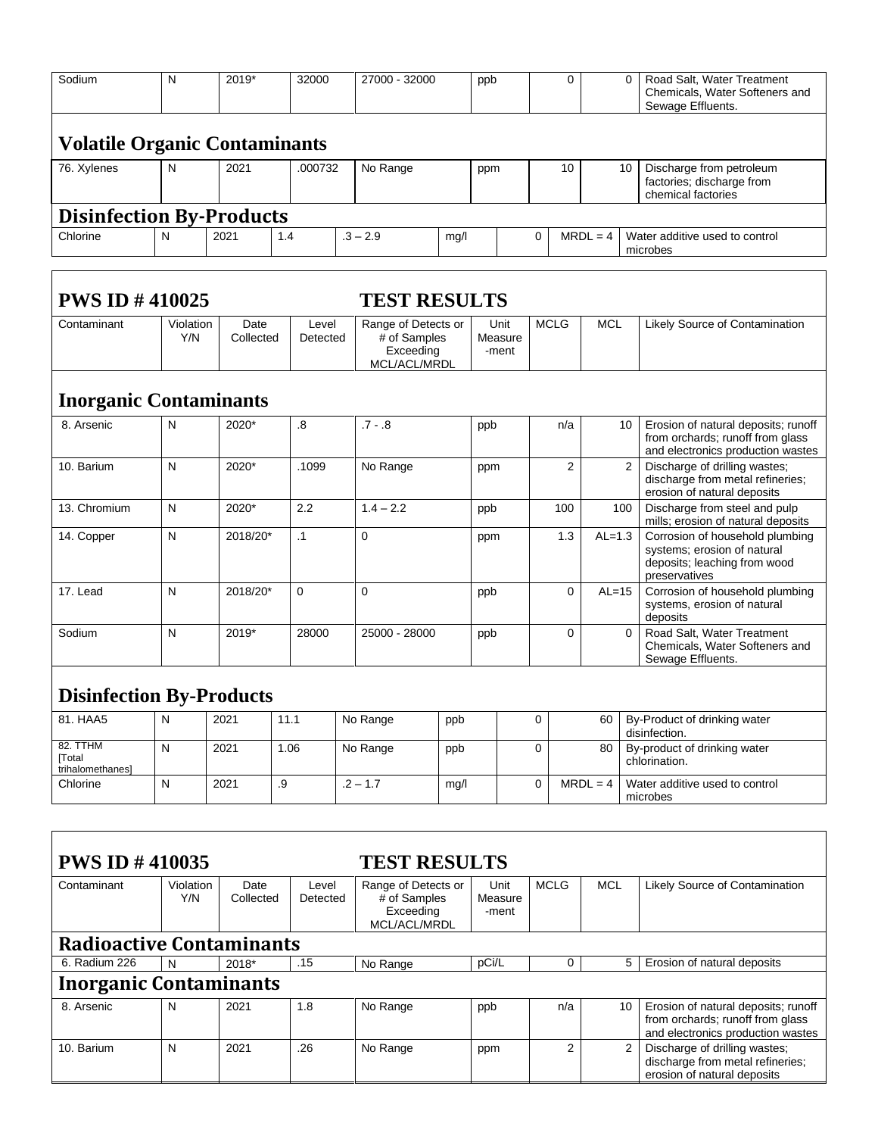| Sodium                                 | N                | 2019*             |     | 32000             | 27000 - 32000                                                    |      | ppb                      |             | 0              |                | 0        | Road Salt, Water Treatment<br>Chemicals, Water Softeners and<br>Sewage Effluents.                               |
|----------------------------------------|------------------|-------------------|-----|-------------------|------------------------------------------------------------------|------|--------------------------|-------------|----------------|----------------|----------|-----------------------------------------------------------------------------------------------------------------|
| <b>Volatile Organic Contaminants</b>   |                  |                   |     |                   |                                                                  |      |                          |             |                |                |          |                                                                                                                 |
| 76. Xylenes                            | N                | 2021              |     | .000732           | No Range                                                         |      | ppm                      |             | 10             |                | 10       | Discharge from petroleum<br>factories; discharge from<br>chemical factories                                     |
| <b>Disinfection By-Products</b>        |                  |                   |     |                   |                                                                  |      |                          |             |                |                |          |                                                                                                                 |
| Chlorine                               | N                | 2021              | 1.4 |                   | $.3 - 2.9$                                                       | mg/l |                          | 0           |                | $MRDL = 4$     |          | Water additive used to control<br>microbes                                                                      |
|                                        |                  |                   |     |                   |                                                                  |      |                          |             |                |                |          |                                                                                                                 |
| <b>PWS ID #410025</b>                  |                  |                   |     |                   | <b>TEST RESULTS</b>                                              |      |                          |             |                |                |          |                                                                                                                 |
| Contaminant                            | Violation<br>Y/N | Date<br>Collected |     | Level<br>Detected | Range of Detects or<br># of Samples<br>Exceeding<br>MCL/ACL/MRDL |      | Unit<br>Measure<br>-ment |             | <b>MCLG</b>    | <b>MCL</b>     |          | Likely Source of Contamination                                                                                  |
| <b>Inorganic Contaminants</b>          |                  |                   |     |                   |                                                                  |      |                          |             |                |                |          |                                                                                                                 |
| 8. Arsenic                             | N                | 2020*             |     | .8                | $.7 - .8$                                                        |      | ppb                      |             | n/a            |                | 10       | Erosion of natural deposits; runoff<br>from orchards; runoff from glass<br>and electronics production wastes    |
| 10. Barium                             | N                | 2020*             |     | .1099             | No Range                                                         |      | ppm                      |             | $\overline{2}$ | $\overline{2}$ |          | Discharge of drilling wastes;<br>discharge from metal refineries;<br>erosion of natural deposits                |
| 13. Chromium                           | N                | 2020*             |     | 2.2               | $1.4 - 2.2$                                                      |      | ppb                      |             | 100            |                | 100      | Discharge from steel and pulp<br>mills; erosion of natural deposits                                             |
| 14. Copper                             | N                | 2018/20*          |     | $\cdot$ 1         | $\mathbf 0$                                                      |      | ppm                      |             | 1.3            | $AL=1.3$       |          | Corrosion of household plumbing<br>systems; erosion of natural<br>deposits; leaching from wood<br>preservatives |
| 17. Lead                               | N                | 2018/20*          |     | $\mathbf 0$       | $\Omega$                                                         |      | ppb                      |             | $\Omega$       | $AL=15$        |          | Corrosion of household plumbing<br>systems, erosion of natural<br>deposits                                      |
| Sodium                                 | N                | 2019*             |     | 28000             | 25000 - 28000                                                    |      | ppb                      |             | 0              |                | $\Omega$ | Road Salt, Water Treatment<br>Chemicals, Water Softeners and<br>Sewage Effluents.                               |
| <b>Disinfection By-Products</b>        |                  |                   |     |                   |                                                                  |      |                          |             |                |                |          |                                                                                                                 |
| 81. HAA5                               | N                | 2021              |     | 11.1              | No Range                                                         | ppb  |                          | $\mathbf 0$ |                | 60             |          | By-Product of drinking water<br>disinfection.                                                                   |
| 82. TTHM<br>[Total<br>trihalomethanes] | N                | 2021              |     | 1.06              | No Range                                                         | ppb  |                          | 0           |                | 80             |          | By-product of drinking water<br>chlorination.                                                                   |
| Chlorine                               | $\mathsf{N}$     | 2021              | .9  |                   | $.2 - 1.7$                                                       | mg/l |                          | $\mathbf 0$ |                | $MRDL = 4$     |          | Water additive used to control<br>microbes                                                                      |
|                                        |                  |                   |     |                   |                                                                  |      |                          |             |                |                |          |                                                                                                                 |
| <b>PWS ID #410035</b>                  |                  |                   |     |                   | <b>TEST RESULTS</b>                                              |      |                          |             |                |                |          |                                                                                                                 |
| Contaminant                            | Violation        | Date              |     | Level             | Range of Detects or                                              |      | Unit                     |             | <b>MCLG</b>    | <b>MCL</b>     |          | Likely Source of Contamination                                                                                  |
|                                        | Y/N              | Collected         |     | Detected          | # of Samples<br>Exceeding<br>MCL/ACL/MRDL                        |      | Measure<br>-ment         |             |                |                |          |                                                                                                                 |
| <b>Radioactive Contaminants</b>        |                  |                   |     |                   |                                                                  |      |                          |             |                |                |          |                                                                                                                 |
| 6. Radium 226                          | ${\sf N}$        | 2018*             |     | .15               | No Range                                                         |      | pCi/L                    |             | $\mathbf{0}$   |                | 5        | Erosion of natural deposits                                                                                     |

# **Inorganic Contaminants**

| 8. Arsenic | 2021 | 1.8 | No Range | ppb | n/a | 10   Erosion of natural deposits; runoff<br>from orchards; runoff from glass<br>and electronics production wastes |
|------------|------|-----|----------|-----|-----|-------------------------------------------------------------------------------------------------------------------|
| 10. Barium | 2021 | .26 | No Range | ppm |     | 2   Discharge of drilling wastes;<br>discharge from metal refineries;<br>erosion of natural deposits              |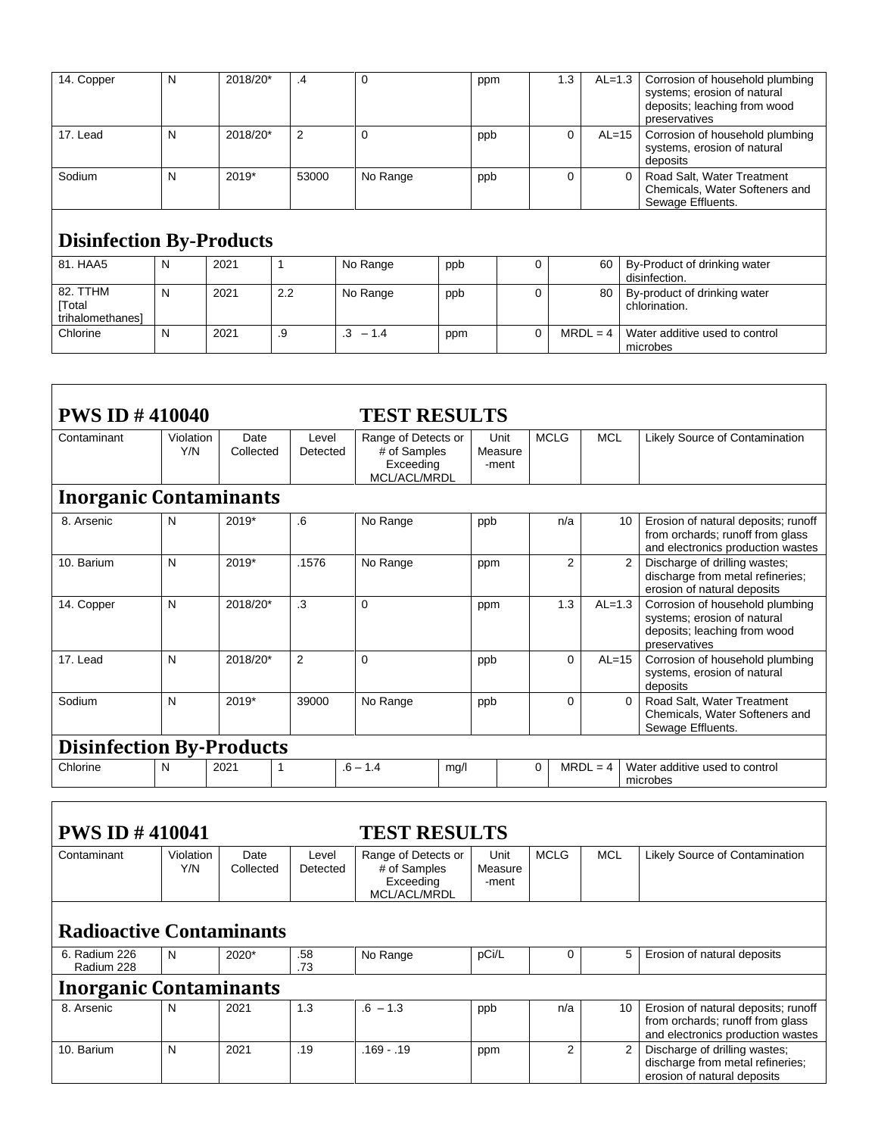| 14. Copper                             | N | 2018/20* | .4    | 0           |     | ppm | 1.3 | $AL=1.3$   | Corrosion of household plumbing<br>systems; erosion of natural<br>deposits; leaching from wood<br>preservatives |
|----------------------------------------|---|----------|-------|-------------|-----|-----|-----|------------|-----------------------------------------------------------------------------------------------------------------|
| 17. Lead                               | N | 2018/20* | 2     | $\mathbf 0$ | ppb |     | 0   | $AL=15$    | Corrosion of household plumbing<br>systems, erosion of natural<br>deposits                                      |
| Sodium                                 | N | 2019*    | 53000 | No Range    | ppb |     | 0   |            | Road Salt, Water Treatment<br>$\Omega$<br>Chemicals, Water Softeners and<br>Sewage Effluents.                   |
| <b>Disinfection By-Products</b>        |   |          |       |             |     |     |     |            |                                                                                                                 |
| 81. HAA5                               | N | 2021     |       | No Range    | ppb | 0   |     | 60         | By-Product of drinking water<br>disinfection.                                                                   |
| 82. TTHM<br>[Total<br>trihalomethanes] | N | 2021     | 2.2   | No Range    | ppb | 0   |     | 80         | By-product of drinking water<br>chlorination.                                                                   |
| Chlorine                               | N | 2021     | .9    | $.3 - 1.4$  | ppm | 0   |     | $MRDL = 4$ | Water additive used to control<br>microbes                                                                      |

| <b>PWS ID #410040</b>                        |                  |                   |                   | <b>TEST RESULTS</b>                                              |                          |                |                |                                                                                                                 |  |  |
|----------------------------------------------|------------------|-------------------|-------------------|------------------------------------------------------------------|--------------------------|----------------|----------------|-----------------------------------------------------------------------------------------------------------------|--|--|
| Contaminant                                  | Violation<br>Y/N | Date<br>Collected | Level<br>Detected | Range of Detects or<br># of Samples<br>Exceeding<br>MCL/ACL/MRDL | Unit<br>Measure<br>-ment | <b>MCLG</b>    | <b>MCL</b>     | Likely Source of Contamination                                                                                  |  |  |
| <b>Inorganic Contaminants</b>                |                  |                   |                   |                                                                  |                          |                |                |                                                                                                                 |  |  |
| 8. Arsenic                                   | N                | 2019*             | .6                | No Range                                                         | ppb                      | n/a            | 10             | Erosion of natural deposits; runoff<br>from orchards; runoff from glass<br>and electronics production wastes    |  |  |
| 10. Barium                                   | N                | 2019*             | .1576             | No Range                                                         | ppm                      | $\overline{2}$ | $\overline{2}$ | Discharge of drilling wastes:<br>discharge from metal refineries;<br>erosion of natural deposits                |  |  |
| 14. Copper                                   | N                | 2018/20*          | $\cdot$ 3         | 0                                                                | ppm                      | 1.3            | $AL=1.3$       | Corrosion of household plumbing<br>systems; erosion of natural<br>deposits; leaching from wood<br>preservatives |  |  |
| 17. Lead                                     | N                | 2018/20*          | 2                 | $\mathbf 0$                                                      | ppb                      | $\Omega$       | $AL=15$        | Corrosion of household plumbing<br>systems, erosion of natural<br>deposits                                      |  |  |
| Sodium                                       | N                | 2019*             | 39000             | No Range                                                         | ppb                      | $\Omega$       | $\Omega$       | Road Salt. Water Treatment<br>Chemicals, Water Softeners and<br>Sewage Effluents.                               |  |  |
| <b>Disinfection By-Products</b>              |                  |                   |                   |                                                                  |                          |                |                |                                                                                                                 |  |  |
| Chlorine                                     | N                | 2021              |                   | $.6 - 1.4$<br>mg/l                                               |                          | 0              | $MRDL = 4$     | Water additive used to control<br>microbes                                                                      |  |  |
|                                              |                  |                   |                   |                                                                  |                          |                |                |                                                                                                                 |  |  |
| <b>PWS ID #410041</b><br><b>TEST RESULTS</b> |                  |                   |                   |                                                                  |                          |                |                |                                                                                                                 |  |  |
| Contaminant                                  | Violation<br>Y/N | Date<br>Collected | Level<br>Detected | Range of Detects or<br># of Samples                              | Unit<br>Measure          | <b>MCLG</b>    | <b>MCL</b>     | Likely Source of Contamination                                                                                  |  |  |

### Exceeding MCL/ACL/MRDL -ment **Radioactive Contaminants** 6. Radium 226 Radium 228 N 2020\* .73 No Range pCi/L 0 5 Erosion of natural deposits **Inorganic Contaminants**<br>8. Arsenic  $\begin{array}{|c|c|c|}\n\hline\nN & 2021\n\end{array}$ 8. Arsenic  $|N|$  2021  $|1.3$   $|0.6 - 1.3$  ppb  $|0.4|$  10 Frosion of natural deposits; runoff from orchards; runoff from glass and electronics production wastes 10. Barium  $\begin{vmatrix} N \\ 2021 \end{vmatrix}$  2021 .19 .169 - .19 .ppm  $\begin{vmatrix} 2 \\ 2 \end{vmatrix}$  2 | Discharge of drilling wastes; discharge from metal refineries; erosion of natural deposits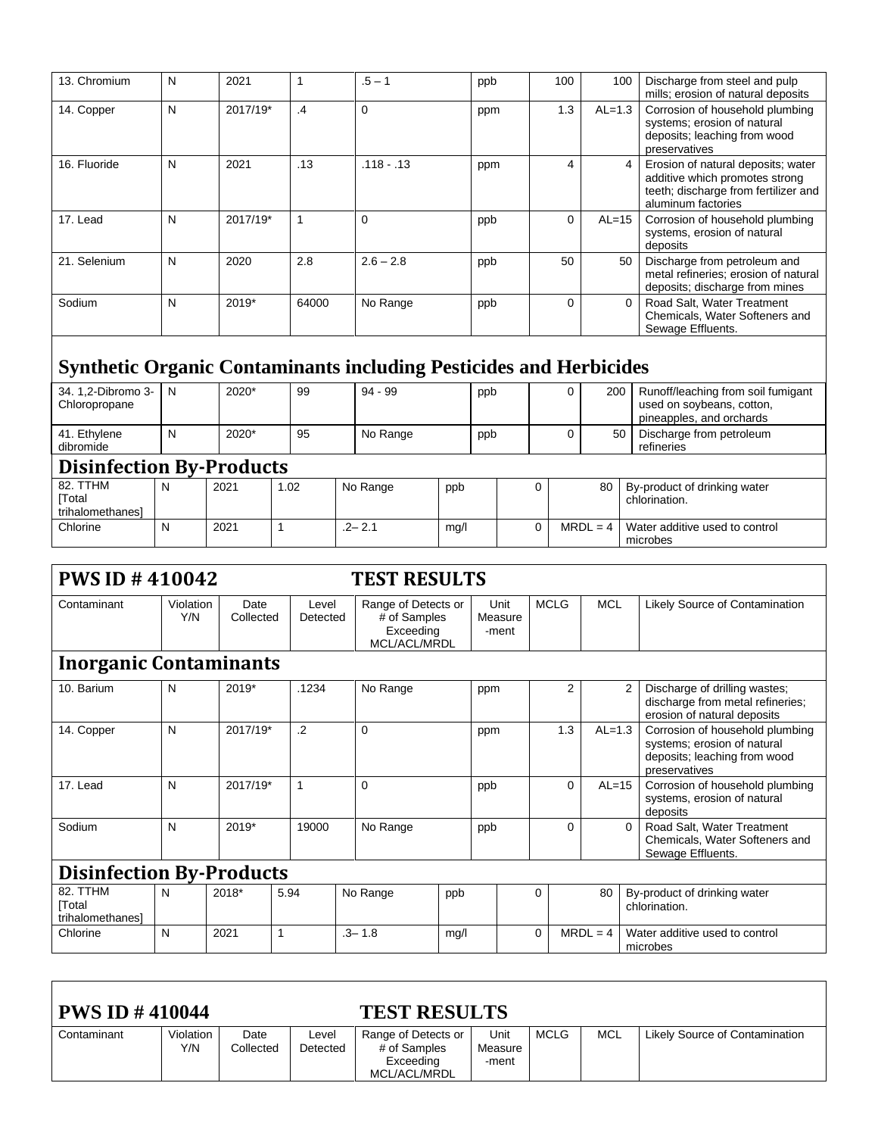| 13. Chromium                                                              | N | 2021     |                | $.5 - 1$     | ppb | 100 | 100      | Discharge from steel and pulp<br>mills; erosion of natural deposits                                                                |
|---------------------------------------------------------------------------|---|----------|----------------|--------------|-----|-----|----------|------------------------------------------------------------------------------------------------------------------------------------|
| 14. Copper                                                                | N | 2017/19* | $\overline{A}$ | $\Omega$     | ppm | 1.3 | $AL=1.3$ | Corrosion of household plumbing<br>systems; erosion of natural<br>deposits; leaching from wood<br>preservatives                    |
| 16. Fluoride                                                              | N | 2021     | .13            | $.118 - .13$ | ppm | 4   |          | Erosion of natural deposits; water<br>additive which promotes strong<br>teeth; discharge from fertilizer and<br>aluminum factories |
| 17. Lead                                                                  | N | 2017/19* |                | $\mathbf 0$  | ppb | 0   | $AL=15$  | Corrosion of household plumbing<br>systems, erosion of natural<br>deposits                                                         |
| 21. Selenium                                                              | N | 2020     | 2.8            | $2.6 - 2.8$  | ppb | 50  | 50       | Discharge from petroleum and<br>metal refineries; erosion of natural<br>deposits; discharge from mines                             |
| Sodium                                                                    | N | 2019*    | 64000          | No Range     | ppb | 0   | $\Omega$ | Road Salt, Water Treatment<br>Chemicals, Water Softeners and<br>Sewage Effluents.                                                  |
| <b>Synthetic Organic Contaminants including Pesticides and Herbicides</b> |   |          |                |              |     |     |          |                                                                                                                                    |
| 34. 1,2-Dibromo 3-<br>Chloropropane                                       | N | 2020*    | 99             | $94 - 99$    | ppb | 0   | 200      | Runoff/leaching from soil fumigant<br>used on soybeans, cotton,<br>pineapples, and orchards                                        |
| 41. Ethylene                                                              | N | 2020*    | 95             | No Range     | ppb | 0   | 50       | Discharge from petroleum                                                                                                           |

| dibromide                                    |                                 |      |      |            |      |   |            | refineries                                    |  |  |  |  |  |
|----------------------------------------------|---------------------------------|------|------|------------|------|---|------------|-----------------------------------------------|--|--|--|--|--|
|                                              | <b>Disinfection By-Products</b> |      |      |            |      |   |            |                                               |  |  |  |  |  |
| 82. TTHM<br><b>Total</b><br>trihalomethanesl | N                               | 2021 | 1.02 | No Range   | ppb  | 0 | 80         | By-product of drinking water<br>chlorination. |  |  |  |  |  |
| Chlorine                                     | N                               | 2021 |      | $-2 - 2.1$ | mg/l | 0 | $MRDL = 4$ | Water additive used to control<br>microbes    |  |  |  |  |  |

| <b>PWS ID #410042</b>                        |                               |                   |                   | <b>TEST RESULTS</b>                                              |                          |             |                 |          |                                                                                                                 |  |  |  |
|----------------------------------------------|-------------------------------|-------------------|-------------------|------------------------------------------------------------------|--------------------------|-------------|-----------------|----------|-----------------------------------------------------------------------------------------------------------------|--|--|--|
| Contaminant                                  | Violation<br>Y/N              | Date<br>Collected | Level<br>Detected | Range of Detects or<br># of Samples<br>Exceeding<br>MCL/ACL/MRDL | Unit<br>Measure<br>-ment | <b>MCLG</b> | <b>MCL</b>      |          | Likely Source of Contamination                                                                                  |  |  |  |
|                                              | <b>Inorganic Contaminants</b> |                   |                   |                                                                  |                          |             |                 |          |                                                                                                                 |  |  |  |
| 10. Barium                                   | N                             | 2019*             | .1234             | No Range                                                         | ppm                      |             | 2               | 2        | Discharge of drilling wastes;<br>discharge from metal refineries;<br>erosion of natural deposits                |  |  |  |
| 14. Copper                                   | N                             | 2017/19*          | $\cdot$ .2        | $\Omega$                                                         | ppm                      |             | 1.3<br>$AL=1.3$ |          | Corrosion of household plumbing<br>systems; erosion of natural<br>deposits; leaching from wood<br>preservatives |  |  |  |
| 17. Lead                                     | N                             | 2017/19*          | 1                 | 0                                                                | ppb                      |             | 0               | $AL=15$  | Corrosion of household plumbing<br>systems, erosion of natural<br>deposits                                      |  |  |  |
| Sodium                                       | N                             | 2019*             | 19000             | No Range                                                         | ppb                      |             | 0               | $\Omega$ | Road Salt, Water Treatment<br>Chemicals, Water Softeners and<br>Sewage Effluents.                               |  |  |  |
| <b>Disinfection By-Products</b>              |                               |                   |                   |                                                                  |                          |             |                 |          |                                                                                                                 |  |  |  |
| 82. TTHM<br><b>Total</b><br>trihalomethanesl | N                             | $2018*$           | 5.94              | No Range                                                         | ppb                      | $\Omega$    | 80              |          | By-product of drinking water<br>chlorination.                                                                   |  |  |  |
| Chlorine                                     | N                             | 2021<br>1         |                   | $.3 - 1.8$                                                       | mg/l                     | $\Omega$    | $MRDL = 4$      |          | Water additive used to control<br>microbes                                                                      |  |  |  |

| <b>PWS ID <math>\#</math> 410044</b> |                  |                   |                   | <b>TEST RESULTS</b>                                              |                          |      |            |                                |
|--------------------------------------|------------------|-------------------|-------------------|------------------------------------------------------------------|--------------------------|------|------------|--------------------------------|
| Contaminant                          | Violation<br>Y/N | Date<br>Collected | Level<br>Detected | Range of Detects or<br># of Samples<br>Exceeding<br>MCL/ACL/MRDL | Unit<br>Measure<br>-ment | MCLG | <b>MCL</b> | Likely Source of Contamination |